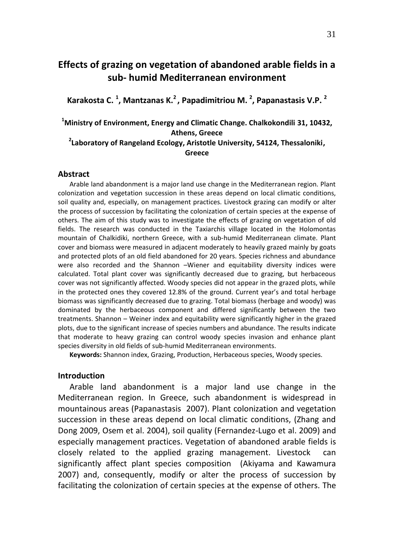# **Effects of grazing on vegetation of abandoned arable fields in a sub- humid Mediterranean environment**

**Karakosta C. <sup>1</sup> , Mantzanas K.<sup>2</sup>, Papadimitriou M. <sup>2</sup> , Papanastasis V.P. <sup>2</sup>**

**<sup>1</sup>Ministry of Environment, Energy and Climatic Change. Chalkokondili 31, 10432, Athens, Greece**

## **2 Laboratory of Rangeland Ecology, Aristotle University, 54124, Thessaloniki, Greece**

#### **Abstract**

Arable land abandonment is a major land use change in the Mediterranean region. Plant colonization and vegetation succession in these areas depend on local climatic conditions, soil quality and, especially, on management practices. Livestock grazing can modify or alter the process of succession by facilitating the colonization of certain species at the expense of others. The aim of this study was to investigate the effects of grazing on vegetation of old fields. The research was conducted in the Taxiarchis village located in the Holomontas mountain of Chalkidiki, northern Greece, with a sub-humid Mediterranean climate. Plant cover and biomass were measured in adjacent moderately to heavily grazed mainly by goats and protected plots of an old field abandoned for 20 years. Species richness and abundance were also recorded and the Shannon –Wiener and equitability diversity indices were calculated. Total plant cover was significantly decreased due to grazing, but herbaceous cover was not significantly affected. Woody species did not appear in the grazed plots, while in the protected ones they covered 12.8% of the ground. Current year's and total herbage biomass was significantly decreased due to grazing. Total biomass (herbage and woody) was dominated by the herbaceous component and differed significantly between the two treatments. Shannon – Weiner index and equitability were significantly higher in the grazed plots, due to the significant increase of species numbers and abundance. Τhe results indicate that moderate to heavy grazing can control woody species invasion and enhance plant species diversity in old fields of sub-humid Mediterranean environments.

**Keywords:** Shannon index, Grazing, Production, Herbaceous species, Woody species.

## **Introduction**

Arable land abandonment is a major land use change in the Mediterranean region. In Greece, such abandonment is widespread in mountainous areas (Papanastasis 2007). Plant colonization and vegetation succession in these areas depend on local climatic conditions, (Zhang and Dong 2009, Osem et al. 2004), soil quality (Fernandez-Lugo et al. 2009) and especially management practices. Vegetation of abandoned arable fields is closely related to the applied grazing management. Livestock can significantly affect plant species composition (Akiyama and Kawamura 2007) and, consequently, modify or alter the process of succession by facilitating the colonization of certain species at the expense of others. The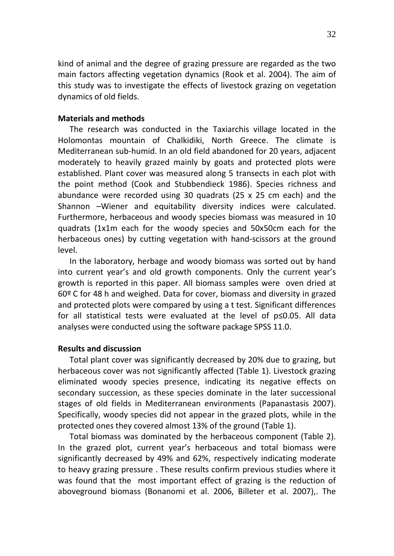kind of animal and the degree of grazing pressure are regarded as the two main factors affecting vegetation dynamics (Rook et al. 2004). The aim of this study was to investigate the effects of livestock grazing on vegetation dynamics of old fields.

## **Materials and methods**

The research was conducted in the Taxiarchis village located in the Holomontas mountain of Chalkidiki, North Greece. The climate is Mediterranean sub-humid. In an old field abandoned for 20 years, adjacent moderately to heavily grazed mainly by goats and protected plots were established. Plant cover was measured along 5 transects in each plot with the point method (Cook and Stubbendieck 1986). Species richness and abundance were recorded using 30 quadrats (25 x 25 cm each) and the Shannon –Wiener and equitability diversity indices were calculated. Furthermore, herbaceous and woody species biomass was measured in 10 quadrats (1x1m each for the woody species and 50x50cm each for the herbaceous ones) by cutting vegetation with hand-scissors at the ground level.

In the laboratory, herbage and woody biomass was sorted out by hand into current year's and old growth components. Only the current year's growth is reported in this paper. All biomass samples were oven dried at 60º C for 48 h and weighed. Data for cover, biomass and diversity in grazed and protected plots were compared by using a t test. Significant differences for all statistical tests were evaluated at the level of p≤0.05. All data analyses were conducted using the software package SPSS 11.0.

## **Results and discussion**

Total plant cover was significantly decreased by 20% due to grazing, but herbaceous cover was not significantly affected (Table 1). Livestock grazing eliminated woody species presence, indicating its negative effects on secondary succession, as these species dominate in the later successional stages of old fields in Mediterranean environments (Papanastasis 2007). Specifically, woody species did not appear in the grazed plots, while in the protected ones they covered almost 13% of the ground (Table 1).

Total biomass was dominated by the herbaceous component (Table 2). In the grazed plot, current year's herbaceous and total biomass were significantly decreased by 49% and 62%, respectively indicating moderate to heavy grazing pressure . These results confirm previous studies where it was found that the most important effect of grazing is the reduction of aboveground biomass (Bonanomi et al. 2006, Billeter et al. 2007),. The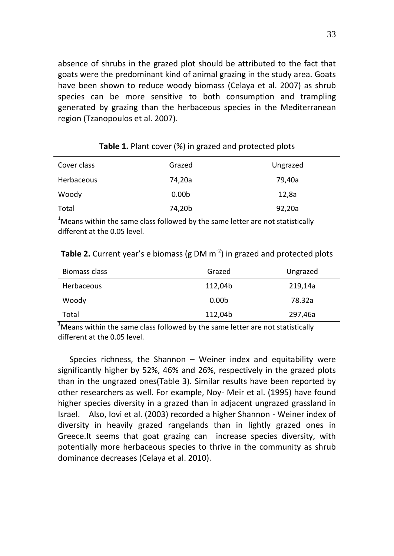absence of shrubs in the grazed plot should be attributed to the fact that goats were the predominant kind of animal grazing in the study area. Goats have been shown to reduce woody biomass (Celaya et al. 2007) as shrub species can be more sensitive to both consumption and trampling generated by grazing than the herbaceous species in the Mediterranean region (Tzanopoulos et al. 2007).

| Cover class       | Grazed            | Ungrazed |
|-------------------|-------------------|----------|
| <b>Herbaceous</b> | 74,20a            | 79,40a   |
| Woody             | 0.00 <sub>b</sub> | 12,8a    |
| Total             | 74,20b            | 92,20a   |

#### **Table 1.** Plant cover (%) in grazed and protected plots

 $1$ Means within the same class followed by the same letter are not statistically different at the 0.05 level.

| Biomass class | Grazed            | Ungrazed |
|---------------|-------------------|----------|
| Herbaceous    | 112,04b           | 219,14a  |
| Woody         | 0.00 <sub>b</sub> | 78.32a   |
| Total         | 112,04b           | 297,46a  |

**Table 2.** Current year's e biomass (g DM m<sup>-2</sup>) in grazed and protected plots

 $1/3$  Means within the same class followed by the same letter are not statistically different at the 0.05 level.

Species richness, the Shannon – Weiner index and equitability were significantly higher by 52%, 46% and 26%, respectively in the grazed plots than in the ungrazed ones(Table 3). Similar results have been reported by other researchers as well. For example, Noy- Meir et al. (1995) have found higher species diversity in a grazed than in adjacent ungrazed grassland in Israel. Also, Iovi et al. (2003) recorded a higher Shannon - Weiner index of diversity in heavily grazed rangelands than in lightly grazed ones in Greece.It seems that goat grazing can increase species diversity, with potentially more herbaceous species to thrive in the community as shrub dominance decreases (Celaya et al. 2010).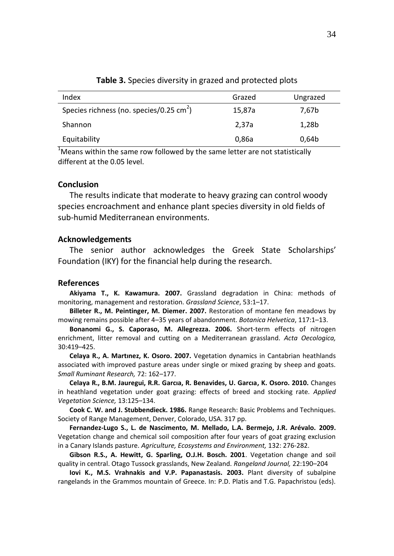| Index                                              | Grazed | Ungrazed |
|----------------------------------------------------|--------|----------|
| Species richness (no. species/0.25 $\text{cm}^2$ ) | 15,87a | 7,67b    |
| Shannon                                            | 2.37a  | 1,28b    |
| Equitability                                       | 0,86a  | 0,64b    |
|                                                    |        |          |

**Table 3.** Species diversity in grazed and protected plots

 $1$ Means within the same row followed by the same letter are not statistically different at the 0.05 level.

## **Conclusion**

Τhe results indicate that moderate to heavy grazing can control woody species encroachment and enhance plant species diversity in old fields of sub-humid Mediterranean environments.

### **Acknowledgements**

The senior author acknowledges the Greek State Scholarships' Foundation (ΙΚΥ) for the financial help during the research.

#### **References**

**Akiyama T., K. Kawamura. 2007.** Grassland degradation in China: methods of monitoring, management and restoration. *Grassland Science*, 53:1–17.

**Billeter R., M. Peintinger, M. Diemer. 2007.** Restoration of montane fen meadows by mowing remains possible after 4–35 years of abandonment. *Botanica Helvetica*, 117:1–13.

**Bonanomi G., S. Caporaso, M. Allegrezza. 2006.** Short-term effects of nitrogen enrichment, litter removal and cutting on a Mediterranean grassland. *Acta Oecologica,* 30:419–425.

**Celaya R., A. Martınez, K. Osoro. 2007.** Vegetation dynamics in Cantabrian heathlands associated with improved pasture areas under single or mixed grazing by sheep and goats. *Small Ruminant Research,* 72: 162–177.

**Celaya R., B.M. Jauregui, R.R. Garcıa, R. Benavides, U. Garcıa, K. Osoro. 2010.** Changes in heathland vegetation under goat grazing: effects of breed and stocking rate. *Applied Vegetation Science,* 13:125–134.

**Cook C. W. and J. Stubbendieck. 1986.** Range Research: Basic Problems and Techniques. Society of Range Management, Denver, Colorado, USA. 317 pp.

**Fernandez-Lugo S., L. de Nascimento, M. Mellado, L.A. Bermejo, J.R. Arévalo. 2009.** Vegetation change and chemical soil composition after four years of goat grazing exclusion in a Canary Islands pasture. *Agriculture, Ecosystems and Environment,* 132: 276-282.

**Gibson R.S., A. Hewitt, G. Sparling, O.J.H. Bosch. 2001**. Vegetation change and soil quality in central. Otago Tussock grasslands, New Zealand. *Rangeland Journal,* 22:190–204

**Iovi K., M.S. Vrahnakis and V.P. Papanastasis. 2003.** Plant diversity of subalpine rangelands in the Grammos mountain of Greece. In: P.D. Platis and T.G. Papachristou (eds).